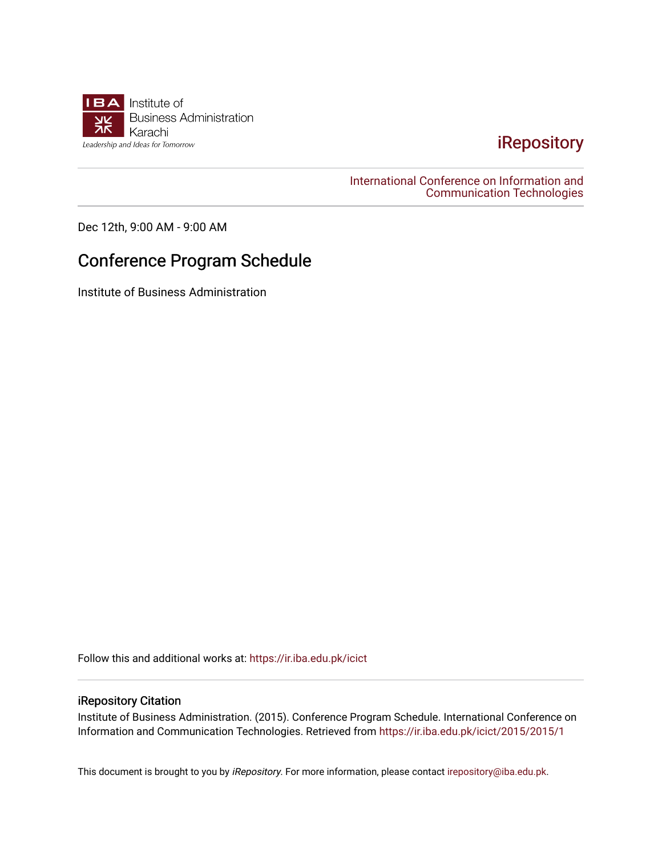

## [iRepository](https://ir.iba.edu.pk/)

[International Conference on Information and](https://ir.iba.edu.pk/icict)  [Communication Technologies](https://ir.iba.edu.pk/icict) 

Dec 12th, 9:00 AM - 9:00 AM

## Conference Program Schedule

Institute of Business Administration

Follow this and additional works at: [https://ir.iba.edu.pk/icict](https://ir.iba.edu.pk/icict?utm_source=ir.iba.edu.pk%2Ficict%2F2015%2F2015%2F1&utm_medium=PDF&utm_campaign=PDFCoverPages) 

## iRepository Citation

Institute of Business Administration. (2015). Conference Program Schedule. International Conference on Information and Communication Technologies. Retrieved from [https://ir.iba.edu.pk/icict/2015/2015/1](https://ir.iba.edu.pk/icict/2015/2015/1?utm_source=ir.iba.edu.pk%2Ficict%2F2015%2F2015%2F1&utm_medium=PDF&utm_campaign=PDFCoverPages) 

This document is brought to you by iRepository. For more information, please contact [irepository@iba.edu.pk](mailto:irepository@iba.edu.pk).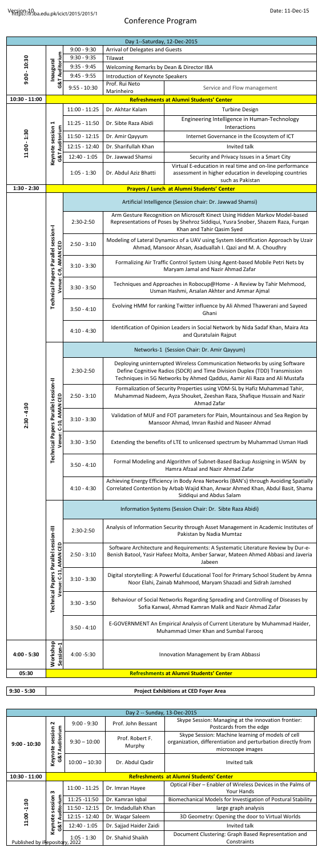## Conference Program

|  | Date: 11-Dec-15 |
|--|-----------------|
|--|-----------------|

| Day 1--Saturday, 12-Dec-2015 |                                                                       |                                                            |                                                                                                                                                                                                                                      |                                                                                                                                                       |  |  |
|------------------------------|-----------------------------------------------------------------------|------------------------------------------------------------|--------------------------------------------------------------------------------------------------------------------------------------------------------------------------------------------------------------------------------------|-------------------------------------------------------------------------------------------------------------------------------------------------------|--|--|
|                              |                                                                       | $9:00 - 9:30$                                              | Arrival of Delegates and Guests                                                                                                                                                                                                      |                                                                                                                                                       |  |  |
|                              | <b>G&amp;T Auditorium</b>                                             | $9:30 - 9:35$                                              | Tilawat                                                                                                                                                                                                                              |                                                                                                                                                       |  |  |
|                              |                                                                       | $9:35 - 9:45$                                              | Welcoming Remarks by Dean & Director IBA                                                                                                                                                                                             |                                                                                                                                                       |  |  |
| $9:00 - 10:30$               | lnaugusni                                                             | $9:45 - 9:55$                                              | Introduction of Keynote Speakers                                                                                                                                                                                                     |                                                                                                                                                       |  |  |
|                              |                                                                       | $9:55 - 10:30$                                             | Prof. Rui Neto                                                                                                                                                                                                                       | Service and Flow management                                                                                                                           |  |  |
| $10:30 - 11:00$              |                                                                       |                                                            | Marinheiro                                                                                                                                                                                                                           | Refreshments at Alumni Students' Center                                                                                                               |  |  |
|                              |                                                                       | $11:00 - 11:25$                                            | Dr. Akhtar Kalam                                                                                                                                                                                                                     | <b>Turbine Design</b>                                                                                                                                 |  |  |
|                              |                                                                       |                                                            |                                                                                                                                                                                                                                      | Engineering Intelligence in Human-Technology                                                                                                          |  |  |
| ⊣                            |                                                                       | $11:25 - 11:50$                                            | Dr. Sibte Raza Abidi                                                                                                                                                                                                                 | Interactions                                                                                                                                          |  |  |
| 11:00 - 1:30                 | Keynote session<br>G&T Auditorium                                     | $11:50 - 12:15$                                            | Dr. Amir Qayyum                                                                                                                                                                                                                      | Internet Governance in the Ecosystem of ICT                                                                                                           |  |  |
|                              |                                                                       | $12:15 - 12:40$                                            | Dr. Sharifullah Khan                                                                                                                                                                                                                 | Invited talk                                                                                                                                          |  |  |
|                              |                                                                       | $12:40 - 1:05$                                             | Dr. Jawwad Shamsi                                                                                                                                                                                                                    | Security and Privacy Issues in a Smart City                                                                                                           |  |  |
|                              |                                                                       | $1:05 - 1:30$                                              | Dr. Abdul Aziz Bhatti                                                                                                                                                                                                                | Virtual E-education in real time and on-line performance<br>assessment in higher education in developing countries                                    |  |  |
| $1:30 - 2:30$                |                                                                       |                                                            |                                                                                                                                                                                                                                      | such as Pakistan<br>Prayers / Lunch at Alumni Students' Center                                                                                        |  |  |
|                              |                                                                       |                                                            |                                                                                                                                                                                                                                      |                                                                                                                                                       |  |  |
|                              |                                                                       | Artificial Intelligence (Session chair: Dr. Jawwad Shamsi) |                                                                                                                                                                                                                                      |                                                                                                                                                       |  |  |
|                              |                                                                       | 2:30-2:50                                                  | Arm Gesture Recognition on Microsoft Kinect Using Hidden Markov Model-based<br>Representations of Poses by Shehroz Siddiqui, Yusra Snober, Shazem Raza, Furqan<br>Khan and Tahir Qasim Syed                                          |                                                                                                                                                       |  |  |
|                              |                                                                       | $2:50 - 3:10$                                              | Modeling of Lateral Dynamics of a UAV using System Identification Approach by Uzair<br>Ahmad, Mansoor Ahsan, Asaduallah I. Qazi and M. A. Choudhry                                                                                   |                                                                                                                                                       |  |  |
|                              | C-9, AMAN CED                                                         | $3:10 - 3:30$                                              | Formalizing Air Traffic Control System Using Agent-based Mobile Petri Nets by<br>Maryam Jamal and Nazir Ahmad Zafar                                                                                                                  |                                                                                                                                                       |  |  |
|                              | <b>Technical Papers Parallel session-I</b><br>Venue:                  | $3:30 - 3:50$                                              | Techniques and Approaches in Robocup@Home - A Review by Tahir Mehmood,<br>Usman Hashmi, Arsalan Akhter and Ammar Ajmal                                                                                                               |                                                                                                                                                       |  |  |
|                              |                                                                       | $3:50 - 4:10$                                              | Evolving HMM for ranking Twitter influence by Ali Ahmed Thawerani and Sayeed<br>Ghani                                                                                                                                                |                                                                                                                                                       |  |  |
|                              |                                                                       | $4:10 - 4:30$                                              | Identification of Opinion Leaders in Social Network by Nida Sadaf Khan, Maira Ata<br>and Quratulain Rajput                                                                                                                           |                                                                                                                                                       |  |  |
|                              |                                                                       | Networks-1 (Session Chair: Dr. Amir Qayyum)                |                                                                                                                                                                                                                                      |                                                                                                                                                       |  |  |
|                              |                                                                       | 2:30-2:50                                                  | Deploying uninterrupted Wireless Communication Networks by using Software<br>Define Cognitive Radios (SDCR) and Time Division Duplex (TDD) Transmission<br>Techniques in 5G Networks by Ahmed Qaddus, Aamir Ali Raza and Ali Mustafa |                                                                                                                                                       |  |  |
|                              | <b>Technical Papers Parallel session-II</b>                           | $2:50 - 3:10$                                              | Formalization of Security Properties using VDM-SL by Hafiz Muhammad Tahir,<br>Muhammad Nadeem, Ayza Shouket, Zeeshan Raza, Shafique Hussain and Nazir<br>Ahmad Zafar                                                                 |                                                                                                                                                       |  |  |
| $2:30 - 4:30$                | Venue: C-10, AMAN CED                                                 | $3:10 - 3:30$                                              | Validation of MUF and FOT parameters for Plain, Mountainous and Sea Region by<br>Mansoor Ahmad, Imran Rashid and Naseer Ahmad                                                                                                        |                                                                                                                                                       |  |  |
|                              |                                                                       | $3:30 - 3:50$                                              | Extending the benefits of LTE to unlicensed spectrum by Muhammad Usman Hadi                                                                                                                                                          |                                                                                                                                                       |  |  |
|                              |                                                                       | $3:50 - 4:10$                                              | Formal Modeling and Algorithm of Subnet-Based Backup Assigning in WSAN by<br>Hamra Afzaal and Nazir Ahmad Zafar                                                                                                                      |                                                                                                                                                       |  |  |
|                              |                                                                       | $4:10 - 4:30$                                              | Achieving Energy Efficiency in Body Area Networks (BAN's) through Avoiding Spatially<br>Correlated Contention by Arbab Wajid Khan, Anwar Ahmed Khan, Abdul Basit, Shama<br>Siddiqui and Abdus Salam                                  |                                                                                                                                                       |  |  |
|                              |                                                                       | Information Systems (Session Chair: Dr. Sibte Raza Abidi)  |                                                                                                                                                                                                                                      |                                                                                                                                                       |  |  |
|                              |                                                                       | 2:30-2:50                                                  |                                                                                                                                                                                                                                      | Analysis of Information Security through Asset Management in Academic Institutes of<br>Pakistan by Nadia Mumtaz                                       |  |  |
|                              | <b>Technical Papers Parallel session-III</b><br>Venue: C-11, AMAN CED | $2:50 - 3:10$                                              | Software Architecture and Requirements: A Systematic Literature Review by Dur-e-<br>Benish Batool, Yasir Hafeez Molta, Amber Sarwar, Mateen Ahmed Abbasi and Javeria<br>Jabeen                                                       |                                                                                                                                                       |  |  |
|                              |                                                                       | $3:10 - 3:30$                                              |                                                                                                                                                                                                                                      | Digital storytelling: A Powerful Educational Tool for Primary School Student by Amna<br>Noor Elahi, Zainab Mahmood, Maryam Shazadi and Sidrah Jamshed |  |  |
|                              |                                                                       | $3:30 - 3:50$                                              | Behaviour of Social Networks Regarding Spreading and Controlling of Diseases by<br>Sofia Kanwal, Ahmad Kamran Malik and Nazir Ahmad Zafar                                                                                            |                                                                                                                                                       |  |  |
|                              |                                                                       | $3:50 - 4:10$                                              |                                                                                                                                                                                                                                      | E-GOVERNMENT An Empirical Analysis of Current Literature by Muhammad Haider,<br>Muhammad Umer Khan and Sumbal Farooq                                  |  |  |
| $4:00 - 5:30$                | Workshop<br>Session-1                                                 | 4:00 -5:30                                                 |                                                                                                                                                                                                                                      | Innovation Management by Eram Abbassi                                                                                                                 |  |  |
| 05:30                        |                                                                       |                                                            |                                                                                                                                                                                                                                      | Refreshments at Alumni Students' Center                                                                                                               |  |  |
|                              |                                                                       |                                                            |                                                                                                                                                                                                                                      |                                                                                                                                                       |  |  |

**9:30 - 5:30 Project Exhibitions at CED Foyer Area**

| Day 2 -- Sunday, 13-Dec-2015                                                           |                                                |                 |                           |                                                                                                                                        |
|----------------------------------------------------------------------------------------|------------------------------------------------|-----------------|---------------------------|----------------------------------------------------------------------------------------------------------------------------------------|
| $9:00 - 10:30$                                                                         | N                                              | $9:00 - 9:30$   | Prof. John Bessant        | Skype Session: Managing at the innovation frontier:<br>Postcards from the edge                                                         |
|                                                                                        | Auditorium<br>session                          | $9:30 - 10:00$  | Prof. Robert F.<br>Murphy | Skype Session: Machine learning of models of cell<br>organization, differentiation and perturbation directly from<br>microscope images |
|                                                                                        | Keynote<br>G8T                                 | $10:00 - 10:30$ | Dr. Abdul Qadir           | Invited talk                                                                                                                           |
| $10:30 - 11:00$                                                                        | <b>Refreshments at Alumni Students' Center</b> |                 |                           |                                                                                                                                        |
| ო<br>Auditorium<br>session<br>11:00 -1:30<br>Keynote<br>Published by iRepository, 2022 |                                                | $11:00 - 11:25$ | Dr. Imran Hayee           | Optical Fiber - Enabler of Wireless Devices in the Palms of<br>Your Hands                                                              |
|                                                                                        |                                                | 11:25 -11:50    | Dr. Kamran Iqbal          | Biomechanical Models for Investigation of Postural Stability                                                                           |
|                                                                                        |                                                | $11:50 - 12:15$ | Dr. Imdadullah Khan       | large graph analysis                                                                                                                   |
|                                                                                        |                                                | $12:15 - 12:40$ | Dr. Wagar Saleem          | 3D Geometry: Opening the door to Virtual Worlds                                                                                        |
|                                                                                        | G8T                                            | $12:40 - 1:05$  | Dr. Sajjad Haider Zaidi   | Invited talk                                                                                                                           |
|                                                                                        |                                                | $1:05 - 1:30$   | Dr. Shahid Shaikh         | Document Clustering: Graph Based Representation and<br>Constraints                                                                     |